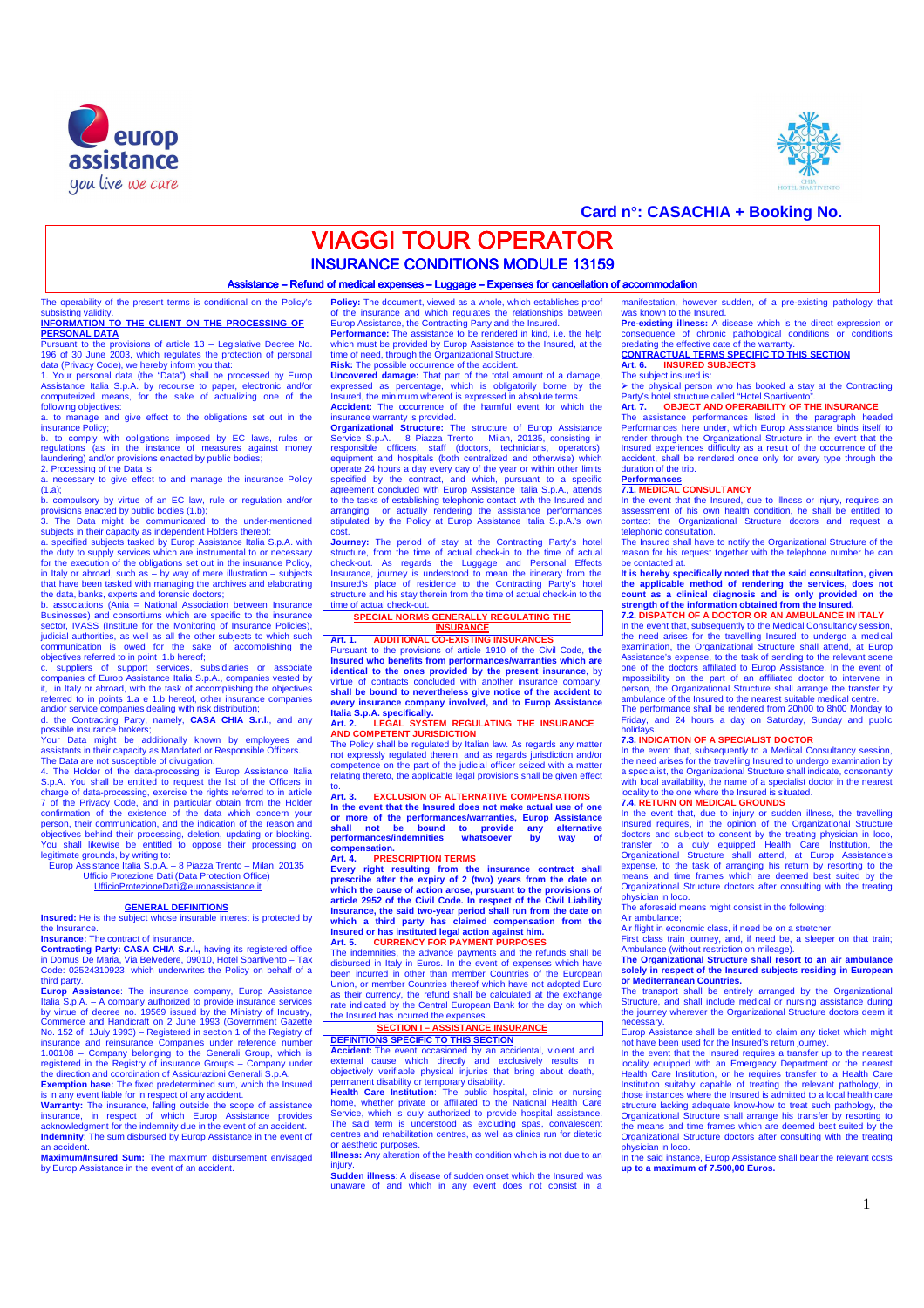



## **Card n°: CASACHIA + Booking No.**

# **VIAGGI TOUR OPERATOR**

**INSURANCE CONDITIONS MODULE 13159** 

Assistance – Refund of medical expenses – Luggage – Expenses for cancellation of accommodation

The operability of the present terms is conditional on the Policy's subsisting validity. **INFORMATION TO THE CLIENT ON THE PROCESSING OF** 

**PERSONAL DATA**  Pursuant to the provisions of article 13 – Legislative Decree No. 196 of 30 June 2003, which regulates the protection of personal data (Privacy Code), we hereby inform you that: 1. Your personal data (the "Data") shall be processed by Europ

Assistance Italia S.p.A. by recourse to paper, electronic and/or computerized means, for the sake of actualizing one of the following objectives:<br>a to manage and

anage and give effect to the obligations set out in the

insurance Policy; b. to comply with obligations imposed by EC laws, rules or regulations (as in the instance of measures against money laundering) and/or provisions enacted by public bodies; 2. Processing of the Data is:

2. Those sary to give effect to and manage the insurance Policy<br>a. necessary to give effect to and manage the insurance Policy

(1.a);<br>b. compulsory by virtue of an EC law, rule or regulation and/or<br>provisions enacted by public bodies (1.b);<br>3. The Data might be communicated to the under-mentioned<br>subjects in their capacity as independent Holders t

the duty to supply services which are instrumental to or necessary for the execution of the obligations set out in the insurance Policy, in Italy or abroad, such as – by way of mere illustration – subjects ave been tasked with managing the archives and elaborating the data, banks, experts and forensic doctors;<br>b. associations (Ania = National Association between Insurance

b. associations (Ania = National Association between Insurance<br>Businesses) and consortiums which are specific to the insurance<br>esetor, IVASS (Institute for the Monitoring of Insurance Policies),<br>judicial authorities, as we

referred to in points 1.a e 1.b hereof, other insurance companies

and/or service companies dealing with risk distribution;<br>d. the Contracting Party, namely, **CASA CHIA S.r.l.**, and any<br>possible insurance brokers;

Your Data might be additionally known by employees and assistants in their capacity as Mandated or Responsible Officers.

The Data are not susceptible of divulgation.<br>4. The Holder of the data-processing is Europ Assistance Italia<br>S.p.A. You shall be entitled to request the list of the Officers in charge of data-processing, exercise the rights referred to in article<br>7 of the Privacy Code, and in particular obtain from the Holder<br>confirmation of the existence of the data which concern your<br>person, their communication objectives behind their processing, deletion, updating or blocking.<br>You shall likewise be entitled to oppose their processing on<br>legitimate grounds, by writing to:<br>Europ Assistance Italia S.p.A. – 8 Piazza Trento – Milan,

### **GENERAL DEFINITIONS**

**Insured:** He is the subject whose insurable interest is protected by the Insurance.

**Insurance:** The contract of insurance.

**Contracting Party: CASA CHIA S.r.l.,** having its registered office in Domus De Maria, Via Belvedere, 09010, Hotel Spartivento – Tax Code: 02524310923, which underwrites the Policy on behalf of a

third party.<br>**Europ Assistance**: The insurance company, Europ Assistance<br>Italia S.p.A. – A company authorized to provide insurance services<br>by virtue of decree no. 19569 issued by the Ministry of Industry,<br>Commerce and Han No. 152 of 1July 1993) – Registered in section 1 of the Registry of<br>insurance and reinsurance Companies under reference number<br>1.00108 – Company belonging to the Generali Group, which is<br>registered in the Registry of insur the direction and coordination of Assicurazioni Generali S.p.A.

Exemption base: The fixed predetermined sum, which the Insured<br>is in any event liable for in respect of any accident.<br>Warranty: The insurance, falling outside the scope of assistance<br>insurance, in respect of which Europ As **Indemnity**: The sum disbursed by Europ Assistance in the event of an accident.

**Maximum/Insured Sum:** The maximum disbursement envisaged by Europ Assistance in the event of an accident

**Policy:** The document, viewed as a whole, which establishes proof the insurance and which requires the relationships between of the insurance and which regulates the relationships between Europ Assistance, the Contracting Party and the Insured.

**Performance:** The assistance to be rendered in kind, i.e. the help which must be provided by Europ Assistance to the Insured, at the time of need, through the Organizational Structure. **Risk:** The possible occurrence of the accident.

**Uncovered damage:** That part of the total amount of a damage,

expressed as percentage, which is obligatorily borne by the<br>Insured, the minimum whereof is expressed in absolute terms.<br>**Accident:** The occurrence of the harmful event for which the insurance warranty is provided.

**Organizational Structure:** The structure of Europ Assistance Service S.p.A. – 8 Piazza Trento – Milan, 20135, consisting in responsible officers, staff (doctors, technicians, operators), equipment and hospitals (both centralized and otherwise) which operate 24 hours a day every day of the year or within other limits<br>specified by the contract, and which, pursuant to a specific<br>agreement concluded with Europ Assistance Italia S.p.A., attends<br>to the tasks of establishing

**Journey:** The period of stay at the Contracting Party's hotel structure, from the time of actual check-in to the time of actual check-out. As regards the Luggage and Personal Effects Insurance, journey is understood to mean the itinerary from the Insured's place of residence to the Contracting Party's hotel structure and his stay therein from the time of actual check-in to the time of actual check-out.

### **SPECIAL NORMS GENERALLY REGULATING THE INSURANCE**

**Art. 1. ADDITIONAL CO-EXISTING INSURANCES**  Pursuant to the provisions of article 1910 of the Civil Code, **the Insured who benefits from performances/warranties which are identical to the ones provided by the present insurance**, by virtue of contracts concluded with another insurance company, **shall be bound to nevertheless give notice of the accident to every insurance company involved, and to Europ Assistance Italia S.p.A. specifically.** 

**Art. 2. LEGAL SYSTEM REGULATING THE INSURANCE AND COMPETENT JURISDICTION** 

The Policy shall be regulated by Italian law. As regards any matter<br>not expressly regulated therein, and as regards jurisdiction and/or<br>competence on the part of the judicial officer seized with a matter<br>relating thereto,

### Art 3 **EXCLUSION OF ALTERNATIVE COMPENSATIONS**

In the event that the Insured does not make actual use of one<br>or more of the performances/warranties, Europ Assistance<br>shall not be bound to provide any alternative<br>performances/indemnities whatsoever by way of **compensation.** 

### **Art. 4. PRESCRIPTION TERMS**

**Every right resulting from the insurance contract shall prescribe after the expiry of 2 (two) years from the date on which the cause of action arose, pursuant to the provisions of**  article 2952 of the Civil Code. In respect of the Civil Liability<br>Insurance, the said two-year period shall run from the date on<br>which a third party has claimed compensation from the<br>Insured or has instituted legal action

The indemnities, the advance payments and the refunds shall be disbursed in Italy in Euros. In the event of expenses which have been incurred in other than member Countries of the European Union, or member Countries thereof which have not adopted Euro as their currency, the refund shall be calculated at the exchange rate indicated by the Central European Bank for the day on which the Insured has incurred the expe

## **SECTION I – ASSISTANCE INSURANCE**

**DEFINITIONS SPECIFIC TO THIS SECTION Accident:** The event occasioned by an accidental, violent and external cause which directly and exclusively results in objectively verifiable physical injuries that bring about death, permanent disability or temporary disability.

**Health Care Institution**: The public hospital, clinic or nursing home, whether private or affiliated to the National Health Care Service, which is duly authorized to provide hospital assistance. The said term is understood as excluding spas, convalescent centres and rehabilitation centres, as well as clinics run for dietetic or aesthetic purposes.

**Illness:** Any alteration of the health condition which is not due to an injury.

**Sudden illness**: A disease of sudden onset which the Insured was in intess. A disease of suddent offset which the insure

manifestation, however sudden, of a pre-existing pathology that was known to the Insured. **Pre-existing illness:** A disease which is the direct expression or

consequence of chronic pathological conditions or conditions<br>predating the effective date of the warranty.<br>**CONTRACTUAL TERMS SPECIFIC TO THIS SECTION**<br>Art. 6. INSURED SUBJECTS

# The subject insured is:

the physical person who has booked a stay at the Contracting

# Party's hotel structure called "Hotel Spartivento". **Art. 7. OBJECT AND OPERABILITY OF THE INSURANCE**

The assistance performances listed in the paragraph headed Performances here under, which Europ Assistance binds itself to render through the Organizational Structure in the event that the Insured experiences difficulty as a result of the occurrence of the accident, shall be rendered once only for every type through the duration of the trip.

# **Performances 7.1. MEDICAL CONSULTANCY**

In the event that the Insured, due to illness or injury, requires an assessment of his own health condition, he shall be entitled to

contact the Organizational Structure doctors and request a telephonic consultation.<br>The Insured shall have to notify the Organizational Structure of the Insured shall have to notify the Organizational Structure of the reas

It is hereby specifically noted that the said consultation. given

It is hereby specifically noted that the said consultation, given<br>the applicable method of rendering the services, does not<br>count as a clinical diagnosis and is only provided on the<br>strength of the information obtained fro

The performance shall be rendered from 20h00 to 8h00 Monday to Friday, and 24 hours a day on Saturday, Sunday and public holid

### **7.3. INDICATION OF A SPECIALIST DOCTOR**

In the event that, subsequently to a Medical Consultancy session, the need arises for the travelling Insured to undergo examination by a specialist, the Organizational Structure shall indicate, consonantly with local availability, the name of a specialist doctor in the nearest locality to the one where the Insured is situated. **7.4. RETURN ON MEDICAL GROUNDS** 

In the event that, due to injury or sudden illness, the travelling Insured requires, in the opinion of the Organizational Structure doctors and subject to consent by the treating physician in loco, transfer to a duly equipped Health Care Institution, the Organizational Structure shall attend, at Europ Assistance's expense, to the task of arranging his return by resorting to the means and time frames which are deemed best suited by the Organizational Structure doctors after consulting with the treating

physician in loco. The aforesaid means might consist in the following: Air ambulance;

Air flight in economic class, if need be on a stretcher;

First class train journey, and, if need be, a sleeper on that train; Ambulance (without restriction on mileage). **The Organizational Structure shall resort to an air ambulance** 

**solely in respect of the Insured subjects residing in European or Mediterranean Countries.** 

The transport shall be entirely arranged by the Organizational Structure, and shall include medical or nursing assistance during the journey wherever the Organizational Structure doctors deem it

necessary.<br>Europ Assistance shall be entitled to claim any ticket which might<br>not have been used for the Insured's return journey.<br>In the event that the Insured requires a transfer up to the nearest<br>locality equipped with

Health Care Institution, or he requires transfer to a Health Care Institution suitably capable of treating the relevant pathology, in those instances where the Insured is admitted to a local health care structure lacking adequate know-how to treat such pathology, the Organizational Structure shall arrange his transfer by resorting to the means and time frames which are deemed best suited by the Organizational Structure do physician in loco.

In the said instance, Europ Assistance shall bear the relevant costs **up to a maximum of 7.500,00 Euros.**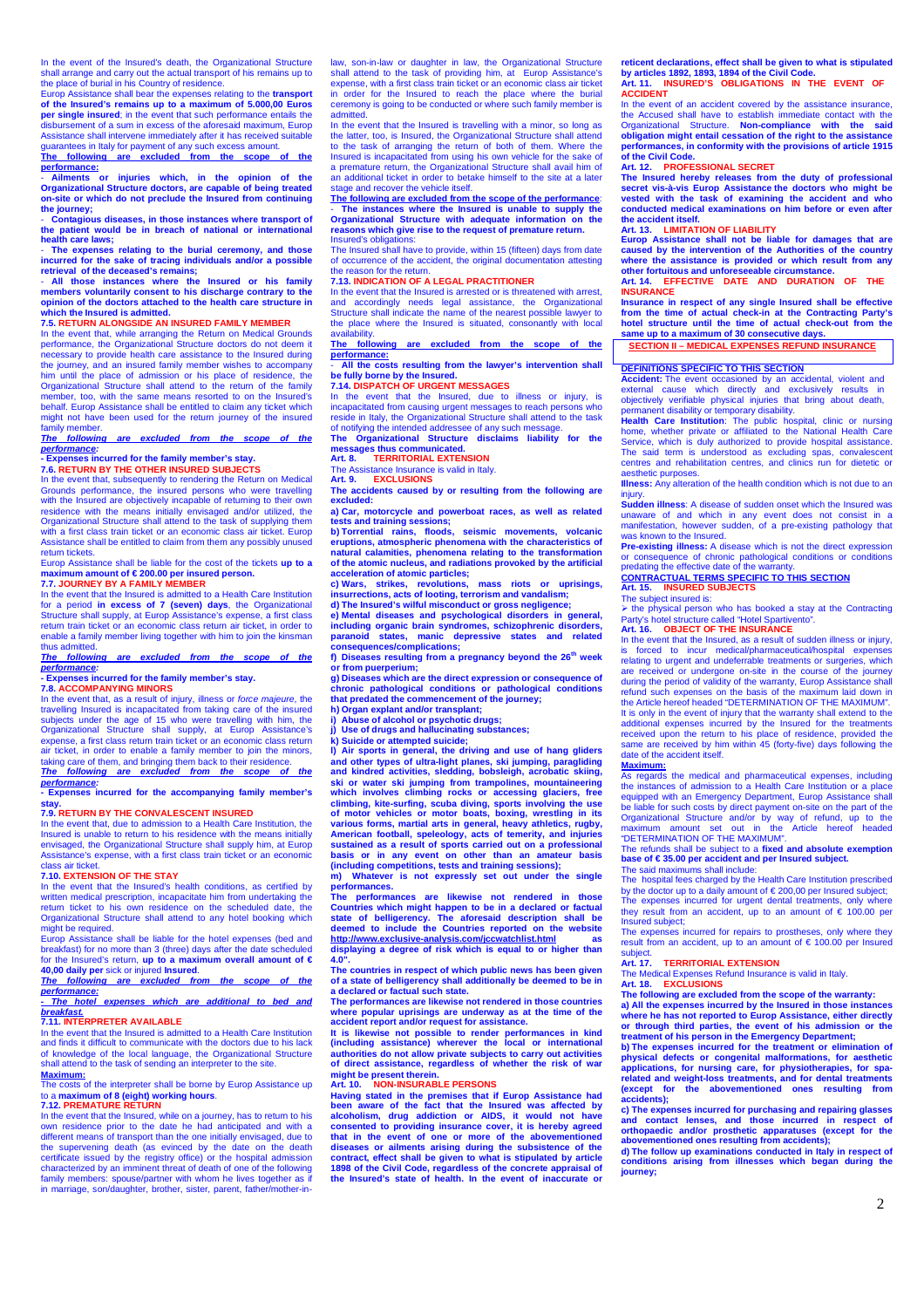In the event of the Insured's death, the Organizational Structure<br>shall arrange and carry out the actual transport of his remains up to<br>the place of burial in his Country of residence.<br>Europ Assistance shall bear the expen

**of the Insured's remains up to a maximum of 5.000,00 Euros per single insured**; in the event that such performance entails the disbursement of a sum in excess of the aforesaid maximum, Europ ance shall intervene immediately after it has received suitable and contain the suitable.

guarantees in Italy for payment of any such excess amount. **The following are excluded from the scope of the performance:** 

- **Ailments or injuries which, in the opinion of the Organizational Structure doctors, are capable of being treated on-site or which do not preclude the Insured from continuing** 

**the journey;**  - **Contagious diseases, in those instances where transport of the patient would be in breach of national or international health care laws;** the patient would be in breach of national or international health care laws;

- **The expenses relating to the burial ceremony, and those** 

incurred for the sake of tracing individuals and/or a possible<br>retrieval of the deceased's remains;<br>- All those instances where the lnsured or his family<br>members voluntarily consent to his discharge contrary to the<br>opinion

# **which the Insured is admitted. 7.5. RETURN ALONGSIDE AN INSURED FAMILY MEMBER**

In the event that, while arranging the Return on Medical Grounds performance, the Organizational Structure doctors do not deem it necessary to provide health care assistance to the Insured during the journey, and an insured family member wishes to accompany<br>him until the place of admission or his place of residence, the<br>Organizational Structure shall attend to the return of the family member, too, with the same means resorted to on the Insured's behalf. Europ Assistance shall be entitled to claim any ticket which might not have been used for the return journey of the insured family member.<br>The following are excluded from the scope

**The following are excluded from the scope of the performance: - Expenses incurred for the family member's stay. 7.6. RETURN BY THE OTHER INSURED SUBJECTS**

In the event that, subsequently to rendering the Return on Medical Grounds performance, the insured persons who were travelling with the Insured are objectively incapable of returning to their own residence with the means initially envisaged and/or utilized, the Organizational Structure shall attend to the task of supplying them with a first class train ticket or an economic class air ticket. Europ Assistance shall be entitled to claim from them any possibly unused

return tickets. Europ Assistance shall be liable for the cost of the tickets **up to a maximum amount of € 200.00 per insured person. 7.7. JOURNEY BY A FAMILY MEMBER**

I.I. SOURNET BY AT AMILY MEMBER<br>In the event that the Insured is admitted to a Health Care Institution for a period **in excess of 7 (seven) days**, the Organizational<br>Structure shall supply, at Europ Assistance's expense, a first class<br>return train ticket or an economic class return air ticket, in order to enable a family member living together with him to join the kinsman

thus admitted.<br>The following **The following are excluded from the scope of the performance: - Expenses incurred for the family member's stay.** 

# **7.8. ACCOMPANYING MINORS**

In the event that, as a result of injury, illness or force majeure, the travelling Insured is incapacitated from taking care of the insured subjects under the age of 15 who were travelling with him, the Organizational Structure shall supply, at Europ Assistance's expense, a first class return train ticket or an economic class return air ticket, in order to enable a family member to join the minors taking care of them, and bringing them back to their residence. **The following are excluded from the scope of the** 

**performance: - Expenses incurred for the accompanying family member's** 

# **stay. 7.9. RETURN BY THE CONVALESCENT INSURED**

In the event that, due to admission to a Health Care Institution, the Insured is unable to return to his residence with the means initially envisaged, the Organizational Structure shall supply him, at Europ Assistance's expense, with a first class train ticket or an economic class air ticket.

### **7.10. EXTENSION OF THE STAY**

In the event that the Insured's health conditions, as certified by written medical prescription, incapacitate him from undertaking the return ticket to his own residence on the scheduled date, the Organizational Structure shall attend to any hotel booking which might be required.

Europ Assistance shall be liable for the hotel expenses (bed and breakfast) for no more than 3 (three) days after the date scheduled for the Insured's return, **up to a maximum overall amount of €** 

**40,00 daily per** sick or injured **Insured**. **The following are excluded from the scope of the performance:** 

**- The hotel expenses which are additional to bed and** 

# **breakfast. 7.11. INTERPRETER AVAILABLE**

In the event that the Insured is admitted to a Health Care Institution and finds it difficult to communicate with the doctors due to his lack of knowledge of the local language, the Organizational Structure shall attend to the task of sending an interpreter to the site.

### **Maximum:**<br>The costs of **COSTERNALLER**<br>Costs of the interpreter shall be borne by Europ Assistance up

to a **maximum of 8 (eight) working hours**. **7.12. PREMATURE RETURN** 

In the event that the Insured, while on a journey, has to return to his own residence prior to the date he had anticipated and with a different means of transport than the one initially envisaged, due to the supervening death (as evinced by the date on the death<br>the supervening death (as evinc in marriage, son/daughter, brother, sister, parent, father/mother-inlaw, son-in-law or daughter in law, the Organizational Structure<br>shall attend to the task of providing him, at Europ Assistance's<br>expense, with a first class train ticket or an economic class air ticket<br>in order for the In exact for the measure to react the place mising admitted. In the event that the Insured is travelling with a minor, so long as

the latter, too, is Insured, the Organizational Structure shall attend to the task of arranging the return of both of them. Where the Insured is incapacitated from using his own vehicle for the sake of a premature return, the Organizational Structure shall avail him of an additional ticket in order to betake himself to the site at a later stage and recover the vehicle itself.

The following are excluded from the scope of the performance:<br>- The instances where the Insured is unable to supply the<br>Organizational Structure with adequate information on the<br>reasons which give rise to the request of pr

Insured's obligations: The Insured shall have to provide, within 15 (fifteen) days from date of occurrence of the accident, the original documentation attesting the matrice of the accident, the original documentation attesting the reason for the return.

### **7.13. INDICATION OF A LEGAL PRACTITIONER**

In the event that the Insured is arrested or is threatened with arrest, and accordingly needs legal assistance, the Organizational Structure shall indicate the name of the nearest possible lawyer to the place where the Insured is situated, consonantly with local

availability. **The following are excluded from the scope of the performance:** 

### - **All the costs resulting from the lawyer's intervention shall be fully borne by the Insured. 7.14. DISPATCH OF URGENT MESSAGES**

In the event that the Insured, due to illness or injury, is incapacitated from causing urgent messages to reach persons who reside in Italy, the Organizational Structure shall attend to the task of notifying the intended addressee of any such message. **The Organizational Structure disclaims liability for the** 

**messages thus communicated. Art. 8. TERRITORIAL EXTENSION** 

The Assistance Insurance is valid in Italy. **Art. 9. EXCLUSIONS** 

**The accidents caused by or resulting from the following are** 

**excluded: a) Car, motorcycle and powerboat races, as well as related** 

tests and training sessions;<br>b) Torrential rains, floods, seismic movements, volcanic<br>eruptions, atmospheric phenomena with the characteristics of<br>natural calamities, phenomena relating to the transformation<br>of the atomic **acceleration of atomic particles;** 

**c) Wars, strikes, revolutions, mass riots or uprisings, insurrections, acts of looting, terrorism and vandalism;** 

d) The Insured's wilful misconduct or gross negligence;<br>e) Mental diseases and psychological disorders in general,<br>including organic brain syndromes, schizophenic disorders,<br>paranoid states, manic depressive states and rel **consequences/complications;** 

f) Diseases resulting from a pregnancy beyond the 26<sup>th</sup> week<br>or from puerperium;<br>g) Diseases which are the direct expression or consequence of

**chronic pathological conditions or pathological conditions that predated the commencement of the journey;** 

**h) Organ explant and/or transplant; i) Abuse of alcohol or psychotic drugs; j) Use of drugs and hallucinating substances;** 

**ide or attempted suicide;** 

**l) Air sports in general, the driving and use of hang gliders and other types of ultra-light planes, ski jumping, paragliding and kindred activities, sledding, bobsleigh, acrobatic skiing,** 

ski or water ski jumping from trampolines, mountaineering<br>which involves climbing rocks or accessing glaciers, free<br>climbing, kite-surfing, scuba diving, sports involving the use<br>of motor vehicles or motor boats, boxing, w American football, speleology, acts of temerity, and injuries<br>sustained as a result of sports carried out on a professional<br>basis or in any event on other than an amateur basis<br>(including competitions, tests and training s

**performances.** 

**The performances are likewise not rendered in those** Countries which might happen to be in a declared or factual<br>state of belligerency. The aforesaid description shall be<br>deemed to include the Countries reported on the website<br>http://www.exclusive-analysis.com/jccwatchlist.h **displaying a degree of risk which is equal to or higher than** 

 $\frac{4.0}{4.0}$ 

**The countries in respect of which public news has been given of a state of belligerency shall additionally be deemed to be in a declared or factual such state.** 

**The performances are likewise not rendered in those countries where popular uprisings are underway as at the time of the accident report and/or request for assistance.** 

**It is likewise not possible to render performances in kind (including assistance) wherever the local or international authorities do not allow private subjects to carry out activities of direct assistance, regardless of whether the risk of war might be present therein.**<br>Art. 10. **NON-INSURABLE PERSONS** 

Art. 10. NON-INSURABLE PERSONS<br>Having stated in the premises that if Europ Assistance had<br>been aware of the fact that the Insured was affected by<br>alcoholism, drug addiction or AIDS, it would not have consented to providing insurance cover, it is hereby agreed<br>that in the event of one or more of the abovementioned<br>diseases or ailments arising during the subsistence of the<br>contract, effect shall be given to what is stipu **1898 of the Civil Code, regardless of the concrete appraisal of the Insured's state of health. In the event of inaccurate or**  **reticent declarations, effect shall be given to what is stipulated by articles 1892, 1893, 1894 of the Civil Code. Art. 11. INSURED'S OBLIGATIONS IN THE EVENT OF ACCIDENT** 

In the event of an accident covered by the assistance insurance the Accused shall have to establish immediate contact with the Organizational Structure. **Non-compliance with the said obligation might entail cessation of the right to the assistance performances, in conformity with the provisions of article 1915 of the Civil Code.**

### **Art. 12. PROFESSIONAL SECRET**

The Insured hereby releases from the duty of professional<br>secret vis-à-vis Europ Assistance the doctors who might be<br>vested with the task of examining the accident and who<br>conducted medical examinations on him before or ev **the accident itself.** 

### **Art. 13. LIMITATION OF LIABILITY**

**Europ Assistance shall not be liable for damages that are caused by the intervention of the Authorities of the country where the assistance is provided or which result from any other fortuitous and unforeseeable circumstance.** 

**Art. 14. EFFECTIVE DATE AND DURATION OF THE INSURANCE Insurance in respect of any single Insured shall be effective** 

**from the time of actual check-in at the Contracting Party's hotel structure until the time of actual check-out from the same up to a maximum of 30 consecutive days.** 

**SECTION II – MEDICAL EXPENSES REFUND INSURANCE** 

### **DEFINITIONS SPECIFIC TO THIS SECTION**

**Accident:** The event occasioned by an accidental, violent and external cause which directly and exclusively results in objectively verifiable physical injuries that bring about death,

permanent disability or temporary disability.<br>Health Care Institution: The public hospital, clinic or nursing<br>home, whether private or affiliated to the National Health Care<br>Service, which is duly authorized to provide hos The said term is understood as excluding spas, convalescent centres and rehabilitation centres, and clinics run for dietetic or aesthetic purposes.

**Illness:** Any alteration of the health condition which is not due to an injury.

**Sudden illness**: A disease of sudden onset which the Insured was unaware of and which in any event does not consist in a manifestation, however sudden, of a pre-existing pathology that was known to the Insured.

**Pre-existing illness:** A disease which is not the direct expression or consequence of chronic pathological conditions or conditions<br>predating the effective date of the warranty.<br>CONTRACTUAL TERMS SPECIFIC TO THIS SECTION

# **Art. 15. INSURED SUBJECTS**

The subject insured is:

 the physical person who has booked a stay at the Contracting Party's hotel structure called "Hotel Spartivento". **Art. 16. OBJECT OF THE INSURANCE** 

In the event that the Insured, as a result of sudden illness or injury, is forced to incur medical/pharmaceutical/hospital expenses relating to urgent and undeferrable treatments or surgeries, which are received or undergone on-site in the course of the journey during the period of validity of the warranty, Europ Assistance shall

refund such expenses on the basis of the maximum laid down in the Article hereof headed "DETERMINATION OF THE MAXIMUM". It is only in the event of injury that the warranty shall extend to the additional expenses incurred by the Insured for the treatments received upon the return to his place of residence, provided the same are received by him within 45 (forty-five) days following the date of the accident itself.

**Maximum:**  As regards the medical and pharmaceutical expenses, including the instances of admission to a Health Care Institution or a place equipped with an Emergency Department, Europ Assistance shall be liable for such costs by direct payment on-site on the part of the Organizational Structure and/or by way of refund, up to the maximum amount set out in the Article hereof headed "DETERMINATION OF THE MAXIMUM".

The refunds shall be subject to a **fixed and absolute exemption base of € 35.00 per accident and per Insured subject.** 

The said maximums shall include: The hospital fees charged by the Health Care Institution prescribed by the doctor up to a daily amount of € 200,00 per Insured subject; The expenses incurred for urgent dental treatments, only where they result from an accident, up to an amount of € 100.00 per Insured subject;

The expenses incurred for repairs to prostheses, only where they result from an accident, up to an amount of  $\epsilon$  100.00 per Insured

# subject. **Art. 17. TERRITORIAL EXTENSION**

The Medical Expenses Refund Insurance is valid in Italy.

### Art. 18. **EXCLUSIONS**

**The following are excluded from the scope of the warranty: a) All the expenses incurred by the Insured in those instances where he has not reported to Europ Assistance, either directly** 

or through third parties, the event of his admission or the treatment of his person in the Emergency Department;<br>b) The expenses incurred for the treatment or elimination of physical defects or congenital malformations, fo **accidents);** 

**c) The expenses incurred for purchasing and repairing glasses**  and contact lenses, and those incurred in respect of<br>orthopaedic and/or prosthetic apparatuses (except for the<br>abovementioned ones resulting from accidents);<br>d) The follow up examinations conducted in Italy in respect of<br>c

**journey;**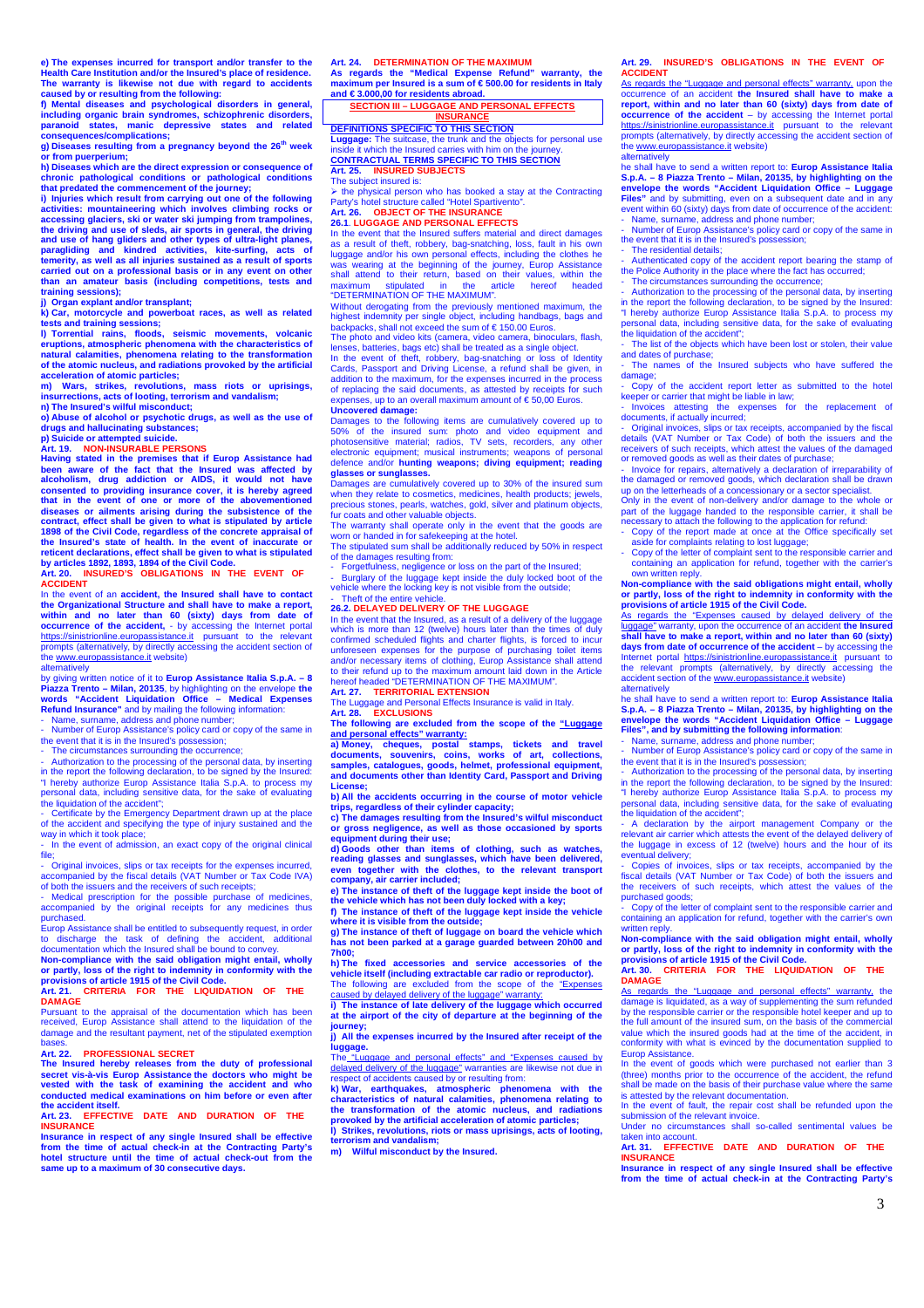e) The expenses incurred for transport and/or transfer to the<br>Health Care Institution and/or the Insured's place of residence.<br>The warranty is likewise not due with regard to accidents<br>caused by or resulting from the follo

f) Mental diseases and psychological disorders in general,<br>including organic brain syndromes, schizophrenic disorders,<br>paranoid states, manic depressive states and related<br>consequences/complications;

**g) Diseases resulting from a pregnancy beyond the 26 th week**  or from puerperium;<br> **b**) Diseases which are the direct expression or consequence of

h) Diseases which are the direct expression or consequence of<br>chronic pathological conditions or pathological conditions<br>that predated the commencement of the journey;<br>i) Injuries which result from carrying out one of the

**k) Car, motorcycle and powerboat races, as well as related tests and training sessions;** 

**l) Torrential rains, floods, seismic movements, volcanic eruptions, atmospheric phenomena with the characteristics of natural calamities, phenomena relating to the transformation of the atomic nucleus, and radiations provoked by the artificial acceleration of atomic particles;** 

**m) Wars, strikes, revolutions, mass riots or uprisings, insurrections, acts of looting, terrorism and vandalism; n) The Insured's wilful misconduct;** 

**o) Abuse of alcohol or psychotic drugs, as well as the use of drugs and hallucinating substances; p) Suicide or attempted suicide. Art. 19. NON-INSURABLE PERSONS** 

Having stated in the premises that if Europ Assistance had<br>been aware of the fact that the Insured was affected by<br>alcoholism, drug addiction or AIDS, it would not have<br>consented to providing insurance cover, it is hereby **that in the event of one or more of the abovementioned diseases or ailments arising during the subsistence of the contract, effect shall be given to what is stipulated by article 1898 of the Civil Code, regardless of the concrete appraisal of the Insured's state of health. In the event of inaccurate or reticent declarations, effect shall be given to what is stipulated by articles 1892, 1893, 1894 of the Civil Code. Art. 20. INSURED'S OBLIGATIONS IN THE EVENT OF** 

**ACCIDENT** In the event of an **accident, the Insured shall have to contact** 

the Organizational Structure and shall have to make a report,<br>within and no later than 60 (sixty) days from date of<br>occurrence of the accident, - by accessing the Internet portal<br>https://sinistrionline.europassistance.it p prompts (alternatively, by directly accessing the accident section of the www.europassistance.it website) the www.europassist

### alternatively

by giving written notice of it to **Europ Assistance Italia S.p.A. – 8**  Piazza Trento - Milan, 20135, by highlighting on the envelope the words<br>words "Accident Liquidation Office - Medical Expenses<br>Refund Insurance" and by mailing the following information:<br>- Name, surname, address and phone n

- Number of Europ Assistance's policy card or copy of the same in the event that it is in the Insured's possession;

- The circumstances surrounding the occurrence;

- Authorization to the processing of the personal data, by inserting in the report the following declaration, to be signed by the Insured:

"I hereby authorize Europ Assistance Italia S.p.A. to process my personal data, including sensitive data, for the sake of evaluating

the liquidation of the accident"; - Certificate by the Emergency Department drawn up at the place of the accident and specifying the type of injury sustained and the way in which it took place;

In the event of admission, an exact copy of the original clinical File;<br>
Chinal invoices slips or tax receipts for the expenses incurred<br>
- Original invoices slips or tax receipts for the expenses incurred

- Original invoices, slips or tax receipts for the expenses incurred,<br>accompanied by the fiscal details (VAT Number or Tax Code IVA)<br>of both the issuers and the receivers of such receipts;<br>- Medical prescription for the po

purchased.

Europ Assistance shall be entitled to subsequently request, in order to discharge the task of defining the accident, additional

documentation which the Insured shall be bound to convey.<br>Non-compliance with the said obligation might entail, wholly<br>or partly, loss of the right to indemnity in conformity with the<br>provisions of article 1915 of the Civi **Art. 21. CRITERIA FOR THE LIQUIDATION OF THE** 

**DAMAGE**

Pursuant to the appraisal of the documentation which has been received, Europ Assistance shall attend to the liquidation of the damage and the resultant payment, net of the stipulated exemption

### Art 22 **PROFESSIONAL SECRET**

Art. 22. PROFESSIONAL SECRET<br>The Insured hereby releases from the duty of professional<br>secret vis-à-vis Europ Assistance the doctors who might be<br>vested with the task of examining the accident and who<br>conducted medical exa

**Art. 23. EFFECTIVE DATE AND DURATION OF THE INSURANCE** 

Insurance in respect of any single Insured shall be effective<br>from the time of actual check-in at the Contracting Party's<br>hotel structure until the time of actual check-out from the<br>same up to a maximum of 30 consecutive d

Art. 24. DETERMINATION OF THE MAXIMUM<br>As regards the "Medical Expense Refund" warranty, the<br>maximum per Insured is a sum of € 500.00 for residents in Italy **and € 3.000,00 for residents abroad.** 

# **SECTION III – LUGGAGE AND PERSONAL EFFECTS**

**INSURANCE DEFINITIONS SPECIFIC TO THIS SECTION Luggage:** The suitcase, the trunk and the objects for personal use inside it which the Insured carries with him on the journey. **CONTRACTUAL TERMS SPECIFIC TO THIS SECTION Art. 25. INSURED SUBJECTS** 

The subject insured is:

> the physical person who has booked a stay at the Contracting<br>Party's hotel structure called "Hotel Spartivento".<br>Art. 26. **OBJECT OF THE INSURANCE** 

### **26.1**. **LUGGAGE AND PERSONAL EFFECTS**

In the event that the Insured suffers material and direct damages as a result of theft, robbery, bag-snatching, loss, fault in his own luggage and/or his own personal effects, including the clothes he was wearing at the beginning of the journey, Europ Assistance shall attend to their return, based on their values, within the maximum stipulated in the article hereof headed "DETERMINATION OF THE MAXIMUM".

Without derogating from the previously mentioned maximum, the highest indemnity per single object, including handbags, bags and backpacks, shall not exceed the sum of € 150.00 Euros.

The photo and video kits (camera, video camera, binoculars, flash,

lenses, batteries, bags etc) shall be treated as a single object.<br>In the event of theft, robbery, bag-smatching or loss of Identity<br>Cards, Passport and Driving License, a refund shall be given, in<br>addition to the maximum,

**Uncovered damage:**  Damages to the following items are cumulatively covered up to 50% of the insured sum: photo and video equipment and photosensitive material; radios, TV sets, recorders, any other electronic equipment; musical instruments; weapons of personal defence and/or **hunting weapons; diving equipment; reading glasses or sunglasses.** 

abood of surgesses.<br>amages are cumulatively covered up to 30% of the insured sum when they relate to cosmetics, medicines, health products; jewels,<br>precious stones, pearls, watches, gold, silver and platinum objects,<br>fur coats and other valuable objects.

The warranty shall operate only in the event that the goods are worn or handed in for safekeeping at the hotel. The stipulated sum shall be additionally reduced by 50% in respect

of the damages resulting from: - Forgetfulness, negligence or loss on the part of the Insured;

- Burglary of the luggage kept inside the duly locked boot of the vehicle where the locking key is not visible from the outside;

- Theft of the entire vehicle. **26.2. DELAYED DELIVERY OF THE LUGGAGE**

In the event that the Insured, as a result of a delivery of the luggage which is more than 12 (twelve) hours later than the times of duly confirmed scheduled flights and charter flights, is forced to incur unforeseen expenses for the purpose of purchasing toilet items and/or necessary items of clothing, Europ Assistance shall attend to their refund up to the maximum amount laid down in the Article hereof headed "DETERMINATION OF THE MAXIMUM".

**Art. 27. TERRITORIAL EXTENSION** 

The Luggage and Personal Effects Insurance is valid in Italy. **Art. 28. EXCLUSIONS The following are excluded from the scope of the "Luggage** 

and personal effects" warranty:<br>a) Money, cheques, postal stamps, tickets and travel<br>documents, souvenirs, coins, works of art, collections,<br>samples, catalogues, goods, helmet, professional equipment,<br>and documents other t **License;** 

b) All the accidents occurring in the course of motor vehicle<br>trips, regardless of their cylinder capacity;<br>c) The damages resulting from the Insured's wilful misconduct<br>or gross negligence, as well as those occasioned by

**equipment during their use; d) Goods other than items of clothing, such as watches, reading glasses and sunglasses, which have been delivered, even together with the clothes, to the relevant transport company, air carrier included;** 

e) The instance of theft of the luggage kept inside the boot of<br>the vehicle which has not been duly locked with a key;<br>f) The instance of theft of the luggage kept inside the vehicle<br>where it is visible from the outside;

**g) The instance of theft of luggage on board the vehicle which has not been parked at a garage guarded between 20h00 and 7h00;** 

**h) The fixed accessories and service accessories of the vehicle itself (including extractable car radio or reproductor).**  The following are excluded from the scope of the "Expenses caused by delayed delivery of the luggage" warranty:

**i) The instance of late delivery of the luggage which occurred at the airport of the city of departure at the beginning of the journey;** 

### $\acute{\textbf{e}}$  expenses incurred by the Insured after receipt of the **luggage.**

The "Luggage and personal effects" and "Expenses caused by delayed delivery of the luggage" warranties are likewise not due in<br>respect of accidents caused by or resulting from:

k) War, earthquakes, atmospheric phenomena with the<br>characteristics of natural calamities, phenomena relating to<br>the transformation of the atomic nucleus, and radiations<br>provoked by the artificial acceleration of atomic pa

**terrorism and vandalism; m) Wilful misconduct by the Insured.** 

**INSURED'S OBLIGATIONS IN THE EVENT OF Art. 29. II**<br>**ACCIDENT** 

As regards the "Luggage and personal effects" warranty, upon the occurrence of an accident **the Insured shall have to make a report, within and no later than 60 (sixty) days from date of occurrence of the accident** – by accessing the Internet portal https://sinistrionline.europassistance.it pursuant to the relevant prompts (alternatively, by directly accessing the accident section of the www.europassistance.it website)

altematively<br>he shall have to send a written report to: **Europ Assistance Italia S.p.A. – 8 Piazza Trento – Milan, 20135, by highlighting on the envelope the words "Accident Liquidation Office – Luggage Files"** and by submitting, even on a subsequent date and in any event within 60 (sixty) days from date of occurrence of the accident: - Name, surname, address and phone number;

- Number of Europ Assistance's policy card or copy of the same in the event that it is in the Insured's possession;

The residential details<br>Authenticated copy of

enticated copy of the accident report bearing the stamp of the Police Authority in the place where the fact has occurred;

- The circumstances surrounding the occurrence; - Authorization to the processing of the personal data, by inserting in the report the following declaration, to be signed by the Insured: "I hereby authorize Europ Assistance Italia S.p.A. to process my personal data, including sensitive data, for the sake of evaluating the liquidation of the accident":

- The list of the objects which have been lost or stolen, their value and dates of purchase;

- The names of the Insured subjects who have suffered the

damage; - Copy of the accident report letter as submitted to the hotel keeper or carrier that might be liable in law; - Invoices attesting the expenses for the replacement of

documents, if actually incurred;<br>- Original invoices, slips or tax receipts, accompanied by the fiscal<br>details (VAT Number or Tax Code) of both the issuers and the<br>receivers of such receipts, which attest the values of the

- Invoice for repairs, alternatively a declaration of irreparability of<br>the damaged or removed goods, which declaration shall be drawn<br>up on the letterheads of a concessionary or a sector specialist.<br>Only in the event of n

- Copy of the report made at once at the Office specifically set aside for complaints relating to lost luggage;

- Copy of the letter of complaint sent to the responsible carrier and containing an application for refund, together with the carrier's own written reply.

**Non-compliance with the said obligations might entail, wholly or partly, loss of the right to indemnity in conformity with the provisions of article 1915 of the Civil Code.**  As regards the "Expenses caused by delayed delivery of the

luggage" warranty, upon the occurrence of an accident **the Insured shall have to make a report, within and no later than 60 (sixty) days from date of occurrence of the accident** – by accessing the Internet portal https://sinistrionline.europassistance.it pursuant to the relevant prompts (alternatively, by directly accessing the accident section of the www.europassistance.it website) alternatively

he shall have to send a written report to: **Europ Assistance Italia**  S.p.A. – 8 Piazza Trento – Milan, 20135, by highlighting on the<br>envelope the words "Accident Liquidation Office – Luggage<br>Files", and by submitting the following information:<br>- Name, sumame, address and phone number;<br>- Num

the event that it is in the Insured's possession; - Authorization to the processing of the personal data, by inserting

in the report the following declaration, to be signed by the Insured: "I hereby authorize Europ Assistance Italia S.p.A. to process my personal data, including sensitive data, for the sake of evaluating the liquidation of the accident";

- A declaration by the airport management Company or the relevant air carrier which attests the event of the delayed delivery of the luggage in excess of 12 (twelve) hours and the hour of its<br>eventual delivery;<br>- Copies of invoices, slips or tax receipts, accompanied by the

Fiscal details (VAT Number or Tax Code) of both the issuers the receivers of such receipts, which attest the values of the purchased goods;

- Copy of the letter of complaint sent to the responsible carrier and containing an application for refund, together with the carrier's own

written reply. **Non-compliance with the said obligation might entail, wholly or partly, loss of the right to indemnity in conformity with the provisions of article 1915 of the Civil Code.** 

**Art. 30. CRITERIA FOR THE LIQUIDATION OF THE**  provision<br>Art. 30.<br>DAMAGE

As regards the "Luggage and personal effects" warranty, the damage is liquidated, as a way of supplementing the sum refunded by the responsible carrier or the responsible hotel keeper and up to the full amount of the insured sum, on the basis of the commercial value which the insured goods had at the time of the accident, in conformity with what is evinced by the documentation supplied to Europ Assistance.

In the event of goods which were purchased not earlier that (three) months prior to the occurrence of the accident, the refund shall be made on the basis of their purchase value where the same is attested by the relevant documentation.

In the event of fault, the repair cost shall be refunded upon the submission of the relevant invoice.

Under no circumstances shall so-called sentimental values be taken into account. **Art. 31. EFFECTIVE DATE AND DURATION OF THE** 

**Insurance in respect of any single Insured shall be effective from the time of actual check-in at the Contracting Party's** 

**INSURANCE** 

3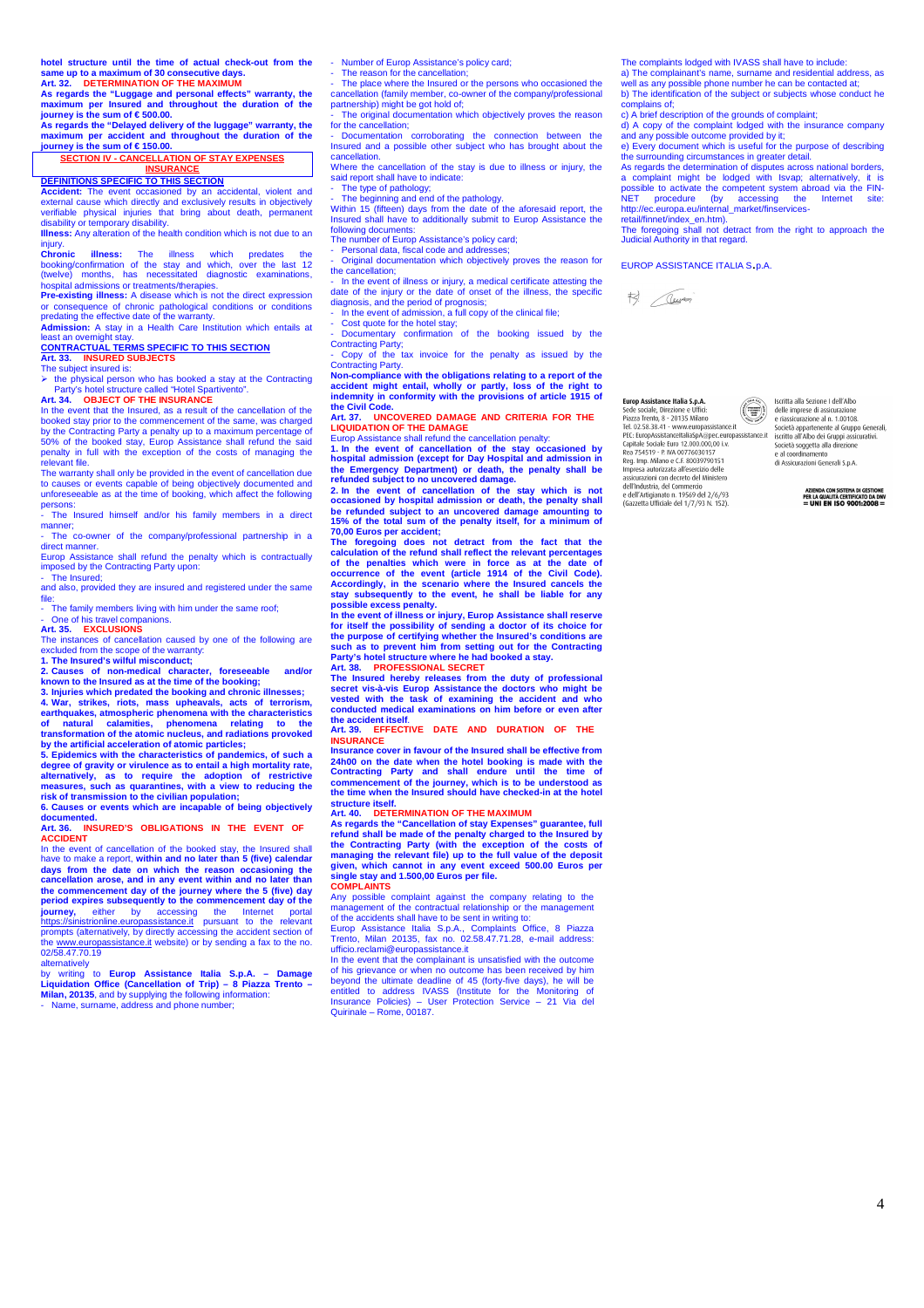**hotel structure until the time of actual check-out from the same up to a maximum of 30 consecutive days. Art. 32. DETERMINATION OF THE MAXIMUM** 

**As regards the "Luggage and personal effects" warranty, the maximum per Insured and throughout the duration of the journey is the sum of € 500.00.** 

As regards the "Delayed delivery of the luggage" warranty, the maximum per accident and throughout the duration of the pixurney is the sum of € 150.00.<br>journey is the sum of € 150.00.<br>SECTION IV - CANCELLATION OF STAY EXP

### **INSURANCE**

**DEFINITIONS SPECIFIC TO THIS SECTION Accident:** The event occasioned by an accidental, violent and external cause which directly and exclusively results in objectively verifiable physical injuries that bring about death, permanent<br>disability or temporary disability.<br>**Illness:** Any alteration of the health condition which is not due to an

injury. **Chronic illness:** The illness which predates the booking/confirmation of the stay and which, over the last 12<br>(twelve) months, has necessitated diagnostic examinations, hospital admissions or treatments/therapies.

**Pre-existing illness:** A disease which is not the direct expression or consequence of chronic pathological conditions or conditions predating the effective date of the warranty. **Admission:** A stay in a Health Care Institution which entails at

least an overnight stay.<br><mark>CONTRACTUAL TERMS SPECIFIC TO THIS SECTION</mark><br>Art. 33. INSURED SUBJECTS<br>The subject insured is:

the physical person who has booked a stay at the Contracting Party's hotel structure called "Hotel Spartivento".<br>Art 34 OB IECT OF THE INSURANCE **OBJECT OF THE INSURANCE** 

In the event that the Insured, as a result of the cancellation of the booked stay prior to the commencement of the same, was charged by the Contracting Party a penalty up to a maximum percentage of 50% of the booked stay, Europ Assistance shall refund the said penalty in full with the exception of the costs of managing the relevant file.

The warranty shall only be provided in the event of cancellation due to causes or events capable of being objectively documented and unforeseeable as at the time of booking, which affect the following persons:

The Insured himself and/or his family members in a direct man

- The co-owner of the company/professional partnership in a direct manner.

Europ Assistance shall refund the penalty which is contractually imposed by the Contracting Party upon: The Insured:

and also, provided they are insured and registered under the same

file: - The family members living with him under the same roof;

# - One of his travel companions. **Art. 35. EXCLUSIONS**

The instances of cancellation caused by one of the following are excluded from the scope of the warranty:

1. The Insured's wilful misconduct;<br>2. Causes of non-medical character, foreseeable and/or<br>known to the Insured as at the time of the booking;<br>3. Injuries which predated the booking and chronic illnesses;<br>4. War, strikes,

**earthquakes, atmospheric phenomena with the characteristics of natural calamities, phenomena relating to the transformation of the atomic nucleus, and radiations provoked** 

by the artificial acceleration of atomic particles;<br>5. Epidemics with the characteristics of pandemics, of such a<br>degree of gravity or virulence as to entail a high mortality rate,<br>alternatively, as to require the adoption

documented<br>Art. 36. **IN** 

**INSURED'S OBLIGATIONS IN THE EVENT OF ACCIDENT** 

In the event of cancellation of the booked stay, the Insured shall have to make a report, **within and no later than 5 (five) calendar days from the date on which the reason occasioning the cancellation arose, and in any event within and no later than the commencement day of the journey where the 5 (five) day period expires subsequently to the commencement day of the<br><b>journey,** either by accessing the Internet portal<br>https://sinistrionline.europassistance.it pursuant to the relevant prompts (alternatively, by directly accessing the accident section of the www.europassistance.it website) or by sending a fax to the no. 02/58.47.70.19

alternatively<br>by writing to Europ Assistance Italia S.p.A. - Damage<br>Liquidation Office (Cancellation of Trip) - 8 Piazza Trento -<br>Milan, 20135, and by supplying the following information:<br>- Name, sumame, address and phone

- Number of Europ Assistance's policy card;

- The reason for the cancellation; - The place where the Insured or the persons who occasioned the cancellation (family member, co-owner of the company/professional

partnership) might be got hold of; - The original documentation which objectively proves the reason for the cancellation;

Documentation corroborating the connection between the two connections of Insured and a possible other subject who has brought about the

cancellation. Where the cancellation of the stay is due to illness or injury, the said report shall have to indicate:

- The type of pathology; - The beginning and end of the pathology. Within 15 (fifteen) days from the date of the aforesaid report, the Insured shall have to additionally submit to Europ Assistance the following documents:

The number of Europ Assistance's policy card;

Personal data, fiscal code and addre

- Original documentation which objectively proves the reason for the cancellation;

- In the event of illness or injury, a medical certificate attesting the date of the injury or the date of onset of the illness, the specific diagnosis, and the period of prognosis;

- In the event of admission, a full copy of the clinical file; - Cost quote for the hotel stay;

- Documentary confirmation of the booking issued by the Contracting Party; - Copy of the tax invoice for the penalty as issued by the

Contracting Party.

**Non-compliance with the obligations relating to a report of the accident might entail, wholly or partly, loss of the right to indemnity in conformity with the provisions of article 1915 of** 

### **the Civil Code. ARTIMICOVERED DAMAGE AND CRITERIA FOR THE LIQUIDATION OF THE DAMAGE AND CRITERIA**<br>**LIQUIDATION OF THE DAMAGE**<br>**Europ Assistance shall refund the cancellation penalty:**

Europ Assistance shall refund the cancellation penalty:<br>1. In the event of cancellation of the stay occasioned by<br>hospital admission (except for Day Hospital and admission in<br>the Emergency Department) or death, the penalty

**calculation of the refund shall reflect the relevant percentages of the penalties which were in force as at the date of** 

occurrence of the event (article 1914 of the Civil Code).<br>Accordingly, in the scenario where the Insured cancels the<br>stay subsequently to the event, he shall be liable for any<br>possible excess penalty.<br>In the event of illne

The Insured hereby releases from the duty of professional<br>secret vis-à-vis Europ Assistance the doctors who might be<br>vested with the task of examining the accident and who<br>conducted medical examinations on him before or ev

**Art. 39. EFFECTIVE DATE AND DURATION OF THE INSURANCE** 

**Insurance cover in favour of the Insured shall be effective from**  24h00 on the date when the hotel booking is made with the<br>Contracting Party and shall endure until the time of<br>commencement of the journey, which is to be understood as<br>the time when the Insured should have checked-in at t structure itself.<br>
structure itself.<br>
Art. 40. DETERMINATION OF THE MAXIMUM

Art. 40. DETERMINATION OF THE MAXIMUM<br>As regards the "Cancellation of stay Expenses" guarantee, full<br>refund shall be made of the penalty charged to the Insured by<br>the Contracting Party (with the exception of the costs of<br>m

Any possible complaint against the company relating to the management of the contractual relationship or the management

of the accidents shall have to be sent in writing to: Europ Assistance Italia S.p.A., Complaints Office, 8 Piazza Trento, Milan 20135, fax no. 02.58.47.71.28, e-mail address: ufficio.reclami@europassistance.it In the event that the complainant is unsatisfied with the outcome

of his grievance or when no outcome has been received by him<br>beyond the ultimate deadline of 45 (forty-five days), he will be<br>entitled to address IVASS (Institute for the Monitoring of<br>Insurance Policies) – User Protection

The complaints lodged with IVASS shall have to include:

a) The complainant's name, surname and residential address, as well as any possible phone number he can be contacted at; b) The identification of the subject or subjects whose conduct he le iuoma.<br><sup>Stoins</sup> Of:

c) A brief description of the grounds of complaint;

d) A copy of the complaint lodged with the insurance company and any possible outcome provided by it; e) Every document which is useful for the purpose of describing

the surrounding circumstances in greater detail. As regards the determination of disputes across national borders, a complaint might be lodged with Isvap; alternatively, it is<br>possible to activate the competent system abroad via the FIN-<br>NET procedure (by accessing the Internet site:<br>http://ec.europa.eu/internal\_market/finservices-<br>ret

The foregoing shall not detract from the right to approach the Judicial Authority in that regard.

EUROP ASSISTANCE ITALIA S.p.A.



Sede sociale, Direzione e Uffici:<br>
Piazza Trento, 8 - 20135 Milano<br>
Tel. 02.58.38.41 - www.europassistance.it<br>
PEC: EuropAssistanceItaliaSpA@pec.europassistance.it<br>
Capitale Sociale Euro 12.000.000,00 i.v. Rea 754519 - P. IVA 00776030157 Reg. Imp. Milano e C.F. 80039790151<br>Impresa autorizzata all'esercizio delle .<br>sicurazioni con decreto del Ministero dell'Industria, del Commercio e dell'Artigianato n. 19569 del 2/6/93<br>(Gazzetta Ufficiale del 1/7/93 N. 152).

Iscritta alla Sezione I dell'Albo<br>delle imprese di assicurazione<br>e riassicurazione al n. 1.00108.<br>Società appartenente al Gruppo Generali,<br>iscritto all'Albo dei Gruppi assicurativi.<br>Società asogetta alla direzione<br>e al coo



Europ Assistance Italia S.p.A  $\bigcirc$